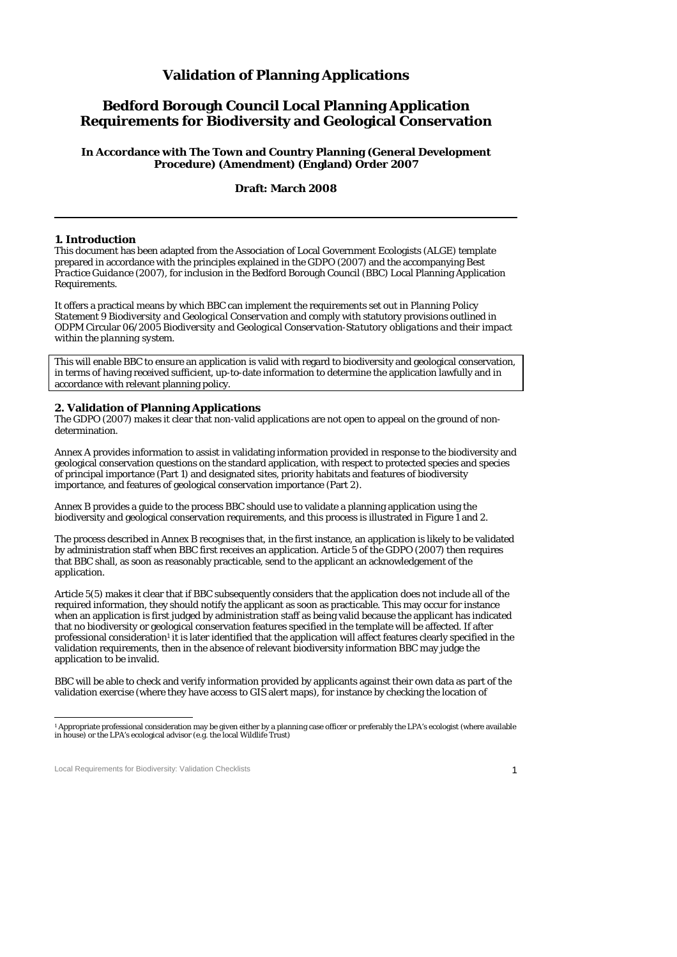# **Validation of Planning Applications**

# **Bedford Borough Council Local Planning Application Requirements for Biodiversity and Geological Conservation**

**In Accordance with The Town and Country Planning (General Development Procedure) (Amendment) (England) Order 2007** 

**Draft: March 2008**

#### **1. Introduction**

This document has been adapted from the Association of Local Government Ecologists (ALGE) template prepared in accordance with the principles explained in the *GDPO* (2007) and the accompanying *Best Practice Guidance* (2007), for inclusion in the Bedford Borough Council (BBC) Local Planning Application Requirements.

It offers a practical means by which BBC can implement the requirements set out in *Planning Policy Statement 9 Biodiversity and Geological Conservation* and comply with statutory provisions outlined in ODPM Circular 06/2005 *Biodiversity and Geological Conservation-Statutory obligations and their impact within the planning system*.

This will enable BBC to ensure an application is valid with regard to biodiversity and geological conservation, in terms of having received sufficient, up-to-date information to determine the application lawfully and in accordance with relevant planning policy.

#### **2. Validation of Planning Applications**

The *GDPO* (2007) makes it clear that non-valid applications are not open to appeal on the ground of nondetermination.

Annex A provides information to assist in validating information provided in response to the biodiversity and geological conservation questions on the standard application, with respect to protected species and species of principal importance (Part 1) and designated sites, priority habitats and features of biodiversity importance, and features of geological conservation importance (Part 2).

Annex B provides a guide to the process BBC should use to validate a planning application using the biodiversity and geological conservation requirements, and this process is illustrated in Figure 1 and 2.

The process described in Annex B recognises that, in the first instance, an application is likely to be validated by administration staff when BBC first receives an application. Article 5 of the *GDPO* (2007) then requires that BBC shall, as soon as reasonably practicable, send to the applicant an acknowledgement of the application.

Article 5(5) makes it clear that if BBC subsequently considers that the application does not include all of the required information, they should notify the applicant as soon as practicable. This may occur for instance when an application is first judged by administration staff as being valid because the applicant has indicated that no biodiversity or geological conservation features specified in the template will be affected. If after professional consideration<sup>1</sup> it is later identified that the application will affect features clearly specified in the validation requirements, then in the absence of relevant biodiversity information BBC may judge the application to be invalid.

BBC will be able to check and verify information provided by applicants against their own data as part of the validation exercise (where they have access to GIS alert maps), for instance by checking the location of

Local Requirements for Biodiversity: Validation Checklists 1

 1 Appropriate professional consideration may be given either by a planning case officer or preferably the LPA's ecologist (where available in house) or the LPA's ecological advisor (e.g. the local Wildlife Trust)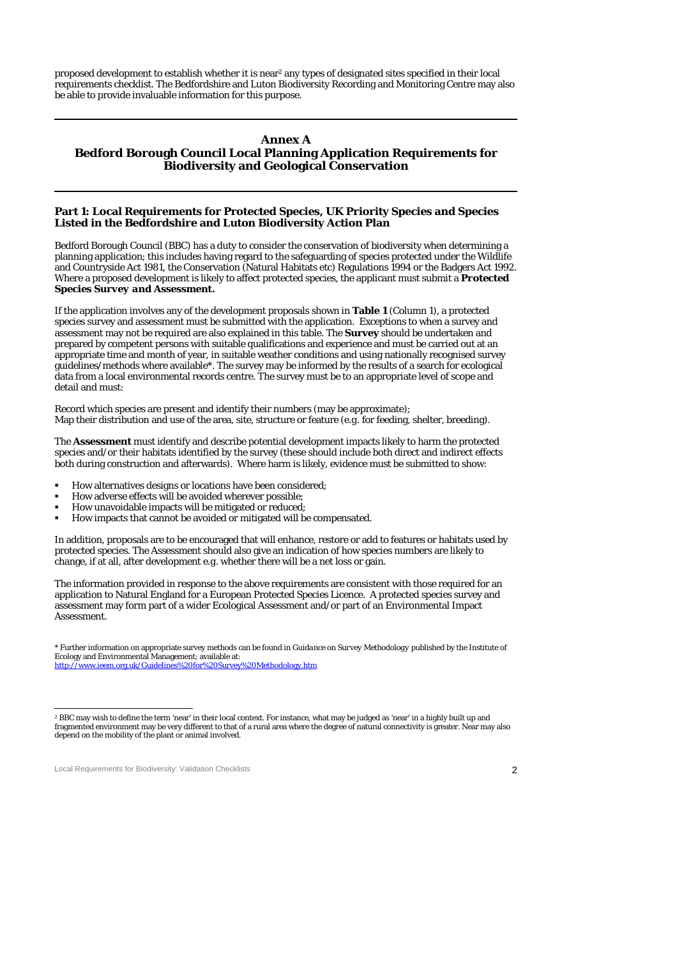proposed development to establish whether it is near2 any types of designated sites specified in their local requirements checklist. The Bedfordshire and Luton Biodiversity Recording and Monitoring Centre may also be able to provide invaluable information for this purpose.

### **Annex A Bedford Borough Council Local Planning Application Requirements for Biodiversity and Geological Conservation**

### **Part 1: Local Requirements for Protected Species, UK Priority Species and Species Listed in the Bedfordshire and Luton Biodiversity Action Plan**

Bedford Borough Council (BBC) has a duty to consider the conservation of biodiversity when determining a planning application; this includes having regard to the safeguarding of species protected under the Wildlife and Countryside Act 1981, the Conservation (Natural Habitats etc) Regulations 1994 or the Badgers Act 1992. Where a proposed development is likely to affect protected species, the applicant must submit a *Protected Species Survey and Assessment***.**

If the application involves any of the development proposals shown in **Table 1** (Column 1), a protected species survey and assessment must be submitted with the application. Exceptions to when a survey and assessment may not be required are also explained in this table. The **Survey** should be undertaken and prepared by competent persons with suitable qualifications and experience and must be carried out at an appropriate time and month of year, in suitable weather conditions and using nationally recognised survey guidelines/methods where available\*. The survey may be informed by the results of a search for ecological data from a local environmental records centre. The survey must be to an appropriate level of scope and detail and must:

Record which species are present and identify their numbers (may be approximate); Map their distribution and use of the area, site, structure or feature (*e.g.* for feeding, shelter, breeding).

The **Assessment** must identify and describe potential development impacts likely to harm the protected species and/or their habitats identified by the survey (these should include both direct and indirect effects both during construction and afterwards). Where harm is likely, evidence must be submitted to show:

- How alternatives designs or locations have been considered;
- How adverse effects will be avoided wherever possible;
- How unavoidable impacts will be mitigated or reduced;<br>■ How impacts that cannot be avoided or mitigated will b
- How impacts that cannot be avoided or mitigated will be compensated.

In addition, proposals are to be encouraged that will enhance, restore or add to features or habitats used by protected species. The Assessment should also give an indication of how species numbers are likely to change, if at all, after development *e.g.* whether there will be a net loss or gain.

The information provided in response to the above requirements are consistent with those required for an application to Natural England for a European Protected Species Licence. A protected species survey and assessment may form part of a wider Ecological Assessment and/or part of an Environmental Impact Assessment.

Local Requirements for Biodiversity: Validation Checklists 2008 2012 2013

<sup>\*</sup> Further information on appropriate survey methods can be found in *Guidance on Survey Methodology* published by the Institute of Ecology and Environmental Management; available at: http://www.ieem.org.uk/Guidelines%20for%20Survey%20Methodology.htm

 $\overline{a}$ 2 BBC may wish to define the term 'near' in their local context. For instance, what may be judged as 'near' in a highly built up and fragmented environment may be very different to that of a rural area where the degree of natural connectivity is greater. Near may also depend on the mobility of the plant or animal involved.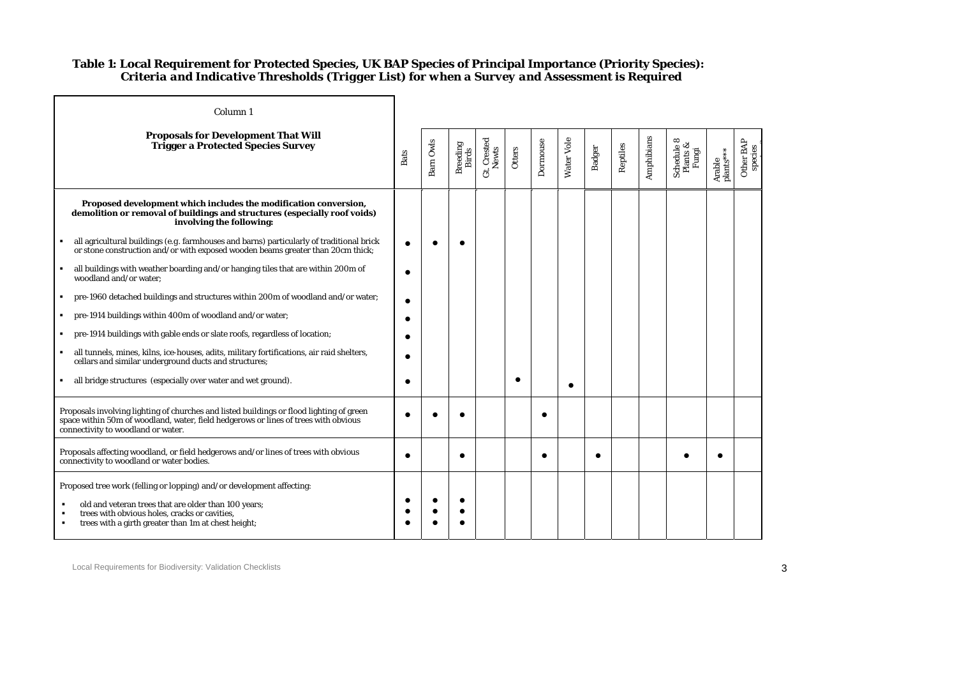## **Table 1: Local Requirement for Protected Species, UK BAP Species of Principal Importance (Priority Species):**   *Criteria and Indicative Thresholds (Trigger List) for when a Survey and Assessment is Required*

| Column <sub>1</sub>                                                                                                                                                                                                   |            |           |                   |                      |        |          |            |        |          |            |                                 |                     |                      |
|-----------------------------------------------------------------------------------------------------------------------------------------------------------------------------------------------------------------------|------------|-----------|-------------------|----------------------|--------|----------|------------|--------|----------|------------|---------------------------------|---------------------|----------------------|
| <b>Proposals for Development That Will</b><br><b>Trigger a Protected Species Survey</b>                                                                                                                               | Bats       | Barn Owls | Breeding<br>Birds | Gt. Crested<br>Newts | Otters | Dormouse | Water Vole | Badger | Reptiles | Amphibians | Schedule 8<br>Plants &<br>Fungi | Arable<br>plants*** | Other BAP<br>species |
| Proposed development which includes the modification conversion,<br>demolition or removal of buildings and structures (especially roof voids)<br>involving the following:                                             |            |           |                   |                      |        |          |            |        |          |            |                                 |                     |                      |
| all agricultural buildings ( $e.g.$ farmhouses and barns) particularly of traditional brick<br>or stone construction and/or with exposed wooden beams greater than 20cm thick;                                        |            |           |                   |                      |        |          |            |        |          |            |                                 |                     |                      |
| all buildings with weather boarding and/or hanging tiles that are within 200m of<br>$\blacksquare$<br>woodland and/or water;                                                                                          |            |           |                   |                      |        |          |            |        |          |            |                                 |                     |                      |
| pre-1960 detached buildings and structures within 200m of woodland and/or water;                                                                                                                                      |            |           |                   |                      |        |          |            |        |          |            |                                 |                     |                      |
| pre-1914 buildings within 400m of woodland and/or water;                                                                                                                                                              |            |           |                   |                      |        |          |            |        |          |            |                                 |                     |                      |
| pre-1914 buildings with gable ends or slate roofs, regardless of location;                                                                                                                                            |            |           |                   |                      |        |          |            |        |          |            |                                 |                     |                      |
| all tunnels, mines, kilns, ice-houses, adits, military fortifications, air raid shelters,<br>cellars and similar underground ducts and structures;                                                                    |            |           |                   |                      |        |          |            |        |          |            |                                 |                     |                      |
| all bridge structures (especially over water and wet ground).<br>л.                                                                                                                                                   |            |           |                   |                      |        |          | $\bullet$  |        |          |            |                                 |                     |                      |
| Proposals involving lighting of churches and listed buildings or flood lighting of green<br>space within 50m of woodland, water, field hedgerows or lines of trees with obvious<br>connectivity to woodland or water. |            |           |                   |                      |        |          |            |        |          |            |                                 |                     |                      |
| Proposals affecting woodland, or field hedgerows and/or lines of trees with obvious<br>connectivity to woodland or water bodies.                                                                                      | $\epsilon$ |           | ٠                 |                      |        |          |            |        |          |            |                                 |                     |                      |
| Proposed tree work (felling or lopping) and/or development affecting:                                                                                                                                                 |            |           |                   |                      |        |          |            |        |          |            |                                 |                     |                      |
| old and veteran trees that are older than 100 years;<br>trees with obvious holes, cracks or cavities,<br>trees with a girth greater than 1m at chest height;<br>$\blacksquare$                                        |            |           |                   |                      |        |          |            |        |          |            |                                 |                     |                      |

**i ?**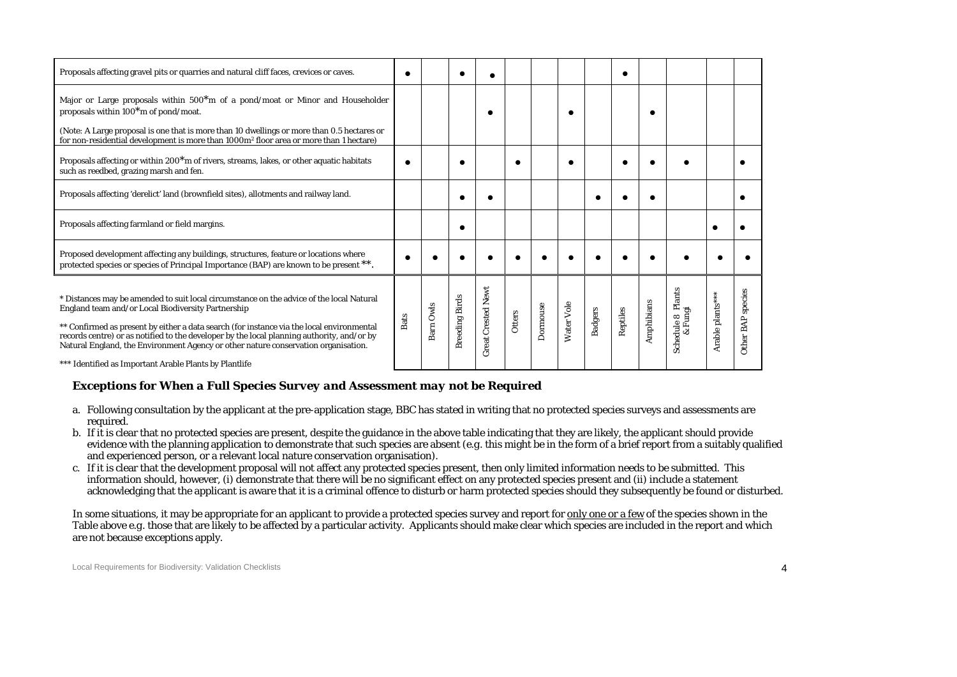| Proposals affecting gravel pits or quarries and natural cliff faces, crevices or caves.                                                                                                                                                                                                                                                   |  | c |  |   |  |  |  |
|-------------------------------------------------------------------------------------------------------------------------------------------------------------------------------------------------------------------------------------------------------------------------------------------------------------------------------------------|--|---|--|---|--|--|--|
| Major or Large proposals within 500 <sup>*</sup> m of a pond/moat or Minor and Householder<br>proposals within $100*$ m of pond/moat.<br>(Note: A Large proposal is one that is more than 10 dwellings or more than 0.5 hectares or<br>for non-residential development is more than 1000m <sup>2</sup> floor area or more than 1 hectare) |  |   |  |   |  |  |  |
| Proposals affecting or within 200 <sup>*</sup> m of rivers, streams, lakes, or other aquatic habitats<br>such as reedbed, grazing marsh and fen.                                                                                                                                                                                          |  |   |  | c |  |  |  |
| Proposals affecting 'derelict' land (brownfield sites), allotments and railway land.                                                                                                                                                                                                                                                      |  |   |  |   |  |  |  |
| Proposals affecting farmland or field margins.                                                                                                                                                                                                                                                                                            |  |   |  |   |  |  |  |
|                                                                                                                                                                                                                                                                                                                                           |  |   |  |   |  |  |  |
| Proposed development affecting any buildings, structures, feature or locations where<br>protected species or species of Principal Importance (BAP) are known to be present **.                                                                                                                                                            |  |   |  |   |  |  |  |

## *Exceptions for When a Full Species Survey and Assessment may not be Required*

- a. Following consultation by the applicant at the pre-application stage, BBC has stated in writing that no protected species surveys and assessments are required.
- b. If it is clear that no protected species are present, despite the guidance in the above table indicating that they are likely, the applicant should provide evidence with the planning application to demonstrate that such species are absent (*e.g.* this might be in the form of a brief report from a suitably qualified and experienced person, or a relevant local nature conservation organisation).
- c. If it is clear that the development proposal will not affect any protected species present, then only limited information needs to be submitted. This information should, however, (i) demonstrate that there will be no significant effect on any protected species present and (ii) include a statement acknowledging that the applicant is aware that it is a criminal offence to disturb or harm protected species should they subsequently be found or disturbed.

In some situations, it may be appropriate for an applicant to provide a protected species survey and report for only one or a few of the species shown in the Table above *e.g.* those that are likely to be affected by a particular activity. Applicants should make clear which species are included in the report and which are not because exceptions apply.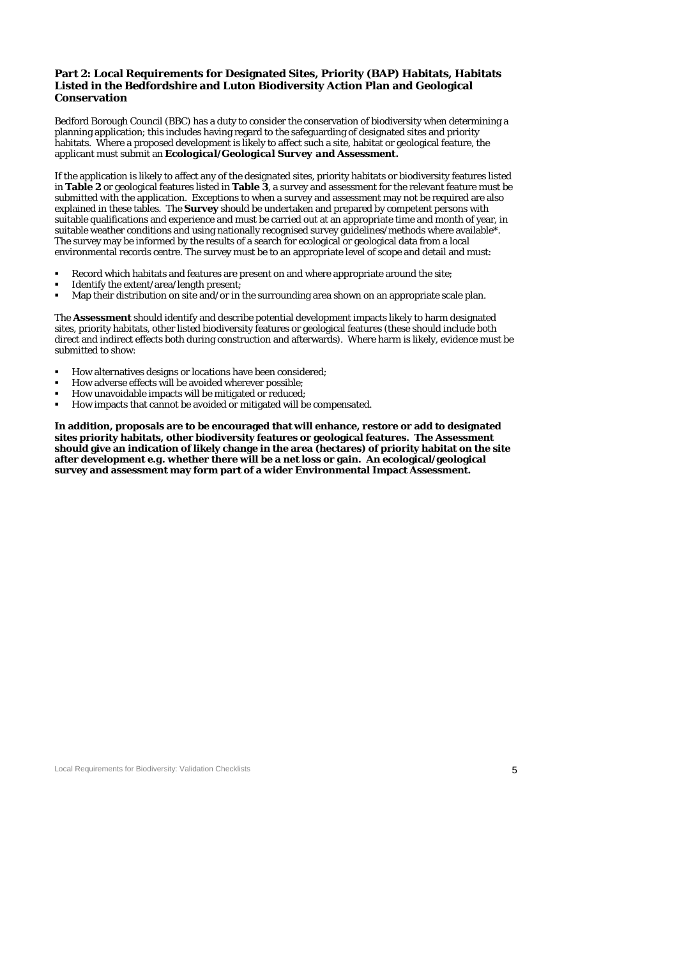### **Part 2: Local Requirements for Designated Sites, Priority (BAP) Habitats, Habitats Listed in the Bedfordshire and Luton Biodiversity Action Plan and Geological Conservation**

Bedford Borough Council (BBC) has a duty to consider the conservation of biodiversity when determining a planning application; this includes having regard to the safeguarding of designated sites and priority habitats. Where a proposed development is likely to affect such a site, habitat or geological feature, the applicant must submit an *Ecological/Geological Survey and Assessment***.**

If the application is likely to affect any of the designated sites, priority habitats or biodiversity features listed in **Table 2** or geological features listed in **Table 3**, a survey and assessment for the relevant feature must be submitted with the application. Exceptions to when a survey and assessment may not be required are also explained in these tables. The **Survey** should be undertaken and prepared by competent persons with suitable qualifications and experience and must be carried out at an appropriate time and month of year, in suitable weather conditions and using nationally recognised survey guidelines/methods where available\*. The survey may be informed by the results of a search for ecological or geological data from a local environmental records centre. The survey must be to an appropriate level of scope and detail and must:

- Record which habitats and features are present on and where appropriate around the site;
- Identify the extent/area/length present;
- Map their distribution on site and/or in the surrounding area shown on an appropriate scale plan.

The **Assessment** should identify and describe potential development impacts likely to harm designated sites, priority habitats, other listed biodiversity features or geological features (these should include both direct and indirect effects both during construction and afterwards). Where harm is likely, evidence must be submitted to show:

- How alternatives designs or locations have been considered;
- How adverse effects will be avoided wherever possible;
- How unavoidable impacts will be mitigated or reduced;
- How impacts that cannot be avoided or mitigated will be compensated.

**In addition, proposals are to be encouraged that will enhance, restore or add to designated sites priority habitats, other biodiversity features or geological features. The Assessment should give an indication of likely change in the area (hectares) of priority habitat on the site after development** *e.g.* **whether there will be a net loss or gain. An ecological/geological survey and assessment may form part of a wider Environmental Impact Assessment.** 

Local Requirements for Biodiversity: Validation Checklists **5** and the state of the state of the state of the state of the state of the state of the state of the state of the state of the state of the state of the state of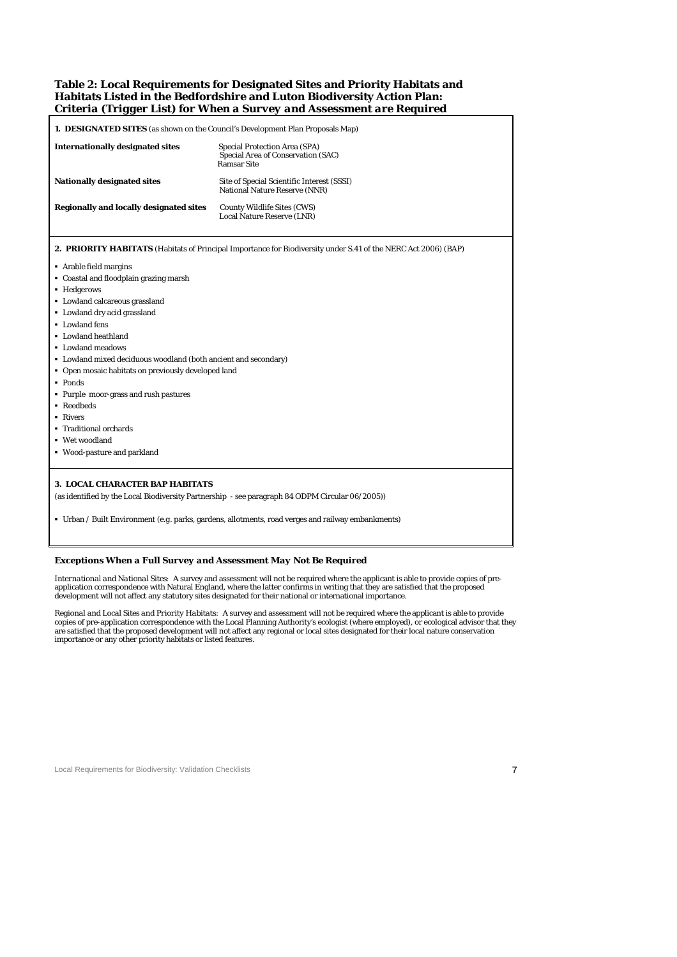### **Table 2: Local Requirements for Designated Sites and Priority Habitats and Habitats Listed in the Bedfordshire and Luton Biodiversity Action Plan:**  *Criteria (Trigger List) for When a Survey and Assessment are Required*

| <b>1. DESIGNATED SITES</b> (as shown on the Council's Development Plan Proposals Map) |                                                                                                                |  |  |  |  |  |  |  |
|---------------------------------------------------------------------------------------|----------------------------------------------------------------------------------------------------------------|--|--|--|--|--|--|--|
| <b>Internationally designated sites</b>                                               | <b>Special Protection Area (SPA)</b><br>Special Area of Conservation (SAC)<br><b>Ramsar Site</b>               |  |  |  |  |  |  |  |
| <b>Nationally designated sites</b>                                                    | Site of Special Scientific Interest (SSSI)<br>National Nature Reserve (NNR)                                    |  |  |  |  |  |  |  |
| <b>Regionally and locally designated sites</b>                                        | County Wildlife Sites (CWS)<br>Local Nature Reserve (LNR)                                                      |  |  |  |  |  |  |  |
|                                                                                       | 2. PRIORITY HABITATS (Habitats of Principal Importance for Biodiversity under S.41 of the NERC Act 2006) (BAP) |  |  |  |  |  |  |  |
| Arable field margins<br>• Coastal and floodplain grazing marsh                        |                                                                                                                |  |  |  |  |  |  |  |
| • Hedgerows                                                                           |                                                                                                                |  |  |  |  |  |  |  |
| • Lowland calcareous grassland                                                        |                                                                                                                |  |  |  |  |  |  |  |
| • Lowland dry acid grassland                                                          |                                                                                                                |  |  |  |  |  |  |  |
| • Lowland fens                                                                        |                                                                                                                |  |  |  |  |  |  |  |
| • Lowland heathland                                                                   |                                                                                                                |  |  |  |  |  |  |  |
| • Lowland meadows                                                                     |                                                                                                                |  |  |  |  |  |  |  |
| • Lowland mixed deciduous woodland (both ancient and secondary)                       |                                                                                                                |  |  |  |  |  |  |  |
| • Open mosaic habitats on previously developed land                                   |                                                                                                                |  |  |  |  |  |  |  |
| • Ponds                                                                               |                                                                                                                |  |  |  |  |  |  |  |
| • Purple moor-grass and rush pastures                                                 |                                                                                                                |  |  |  |  |  |  |  |
| • Reedbeds                                                                            |                                                                                                                |  |  |  |  |  |  |  |
| • Rivers                                                                              |                                                                                                                |  |  |  |  |  |  |  |
| • Traditional orchards                                                                |                                                                                                                |  |  |  |  |  |  |  |
| ■ Wet woodland                                                                        |                                                                                                                |  |  |  |  |  |  |  |
| • Wood-pasture and parkland                                                           |                                                                                                                |  |  |  |  |  |  |  |
|                                                                                       |                                                                                                                |  |  |  |  |  |  |  |
| <b>3. LOCAL CHARACTER BAP HABITATS</b>                                                |                                                                                                                |  |  |  |  |  |  |  |
|                                                                                       | (as identified by the Local Biodiversity Partnership - see paragraph 84 ODPM Circular 06/2005))                |  |  |  |  |  |  |  |
|                                                                                       | • Urban / Built Environment (e.g. parks, gardens, allotments, road verges and railway embankments)             |  |  |  |  |  |  |  |

### *Exceptions When a Full Survey and Assessment May Not Be Required*

*International and National Sites:* A survey and assessment will not be required where the applicant is able to provide copies of pre-<br>application correspondence with Natural England, where the latter confirms in writing t

*Regional and Local Sites and Priority Habitats:* A survey and assessment will not be required where the applicant is able to provide copies of pre-application correspondence with the Local Planning Authority's ecologist (

Local Requirements for Biodiversity: Validation Checklists 7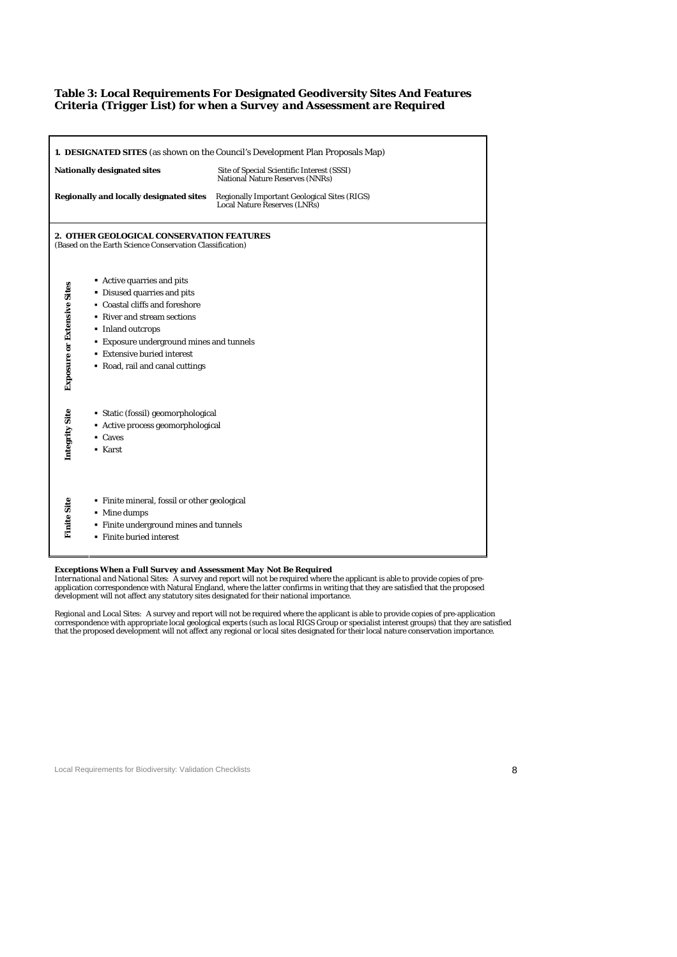## **Table 3: Local Requirements For Designated Geodiversity Sites And Features**  *Criteria (Trigger List) for when a Survey and Assessment are Required*

|                             |                                                                                                                                                                                                                                                                       | 1. DESIGNATED SITES (as shown on the Council's Development Plan Proposals Map)             |
|-----------------------------|-----------------------------------------------------------------------------------------------------------------------------------------------------------------------------------------------------------------------------------------------------------------------|--------------------------------------------------------------------------------------------|
|                             | <b>Nationally designated sites</b>                                                                                                                                                                                                                                    | Site of Special Scientific Interest (SSSI)<br>National Nature Reserves (NNRs)              |
|                             | Regionally and locally designated sites                                                                                                                                                                                                                               | <b>Regionally Important Geological Sites (RIGS)</b><br><b>Local Nature Reserves (LNRs)</b> |
|                             | 2. OTHER GEOLOGICAL CONSERVATION FEATURES<br>(Based on the Earth Science Conservation Classification)                                                                                                                                                                 |                                                                                            |
| Exposure or Extensive Sites | Active quarries and pits<br>• Disused quarries and pits<br>• Coastal cliffs and foreshore<br>• River and stream sections<br>• Inland outcrops<br><b>Exposure underground mines and tunnels</b><br><b>Extensive buried interest</b><br>• Road, rail and canal cuttings |                                                                                            |
| Integrity Site              | • Static (fossil) geomorphological<br>• Active process geomorphological<br>- Caves<br>• Karst                                                                                                                                                                         |                                                                                            |
| <b>Finite Site</b>          | • Finite mineral, fossil or other geological<br>• Mine dumps<br>· Finite underground mines and tunnels<br>• Finite buried interest                                                                                                                                    |                                                                                            |

#### *Exceptions When a Full Survey and Assessment May Not Be Required*

*International and National Sites:* A survey and report will not be required where the applicant is able to provide copies of pre-<br>application correspondence with Natural England, where the latter confirms in writing that

*Regional and Local Sites:* A survey and report will not be required where the applicant is able to provide copies of pre-application<br>correspondence with appropriate local geological experts (such as local RIGS Group or sp

### Local Requirements for Biodiversity: Validation Checklists **8 8**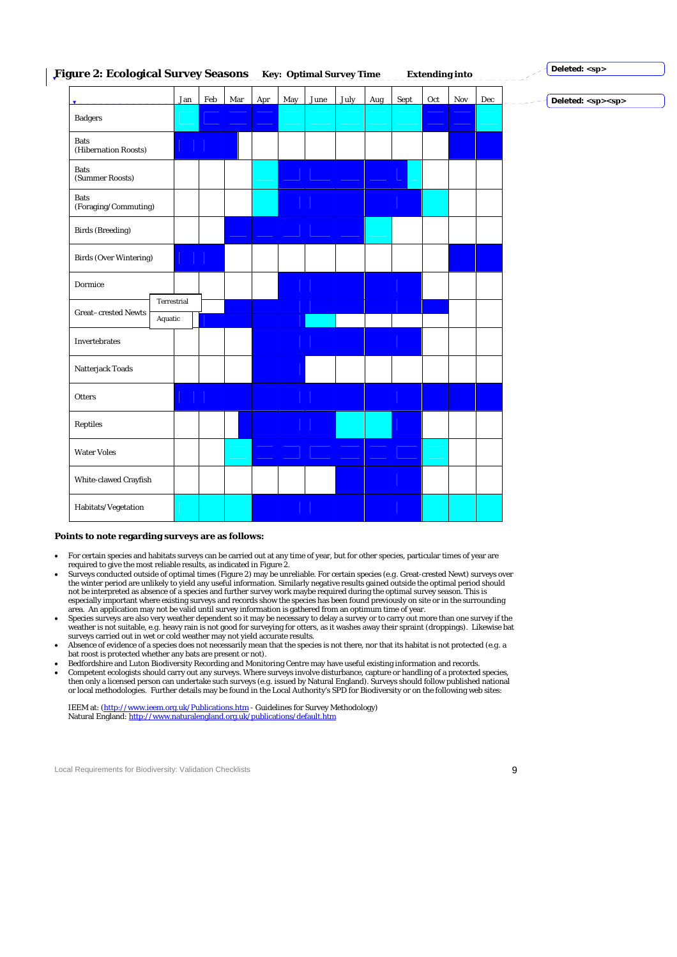#### **Figure 2: Ecological Survey Seasons Key: Optimal Survey Time Extending into Deleted: <sp>**

|                                     |                        | Jan | Feb | Mar | <b>Apr</b> | May | June | <b>July</b> | Aug | <b>Sept</b> | $Oct$ | Nov | Dec | Deleted: <sp><sp></sp></sp> |  |
|-------------------------------------|------------------------|-----|-----|-----|------------|-----|------|-------------|-----|-------------|-------|-----|-----|-----------------------------|--|
| <b>Badgers</b>                      |                        |     |     |     |            |     |      |             |     |             |       |     |     |                             |  |
| <b>Bats</b><br>(Hibernation Roosts) |                        |     |     |     |            |     |      |             |     |             |       |     |     |                             |  |
| <b>Bats</b><br>(Summer Roosts)      |                        |     |     |     |            |     |      |             |     |             |       |     |     |                             |  |
| <b>Bats</b><br>(Foraging/Commuting) |                        |     |     |     |            |     |      |             |     |             |       |     |     |                             |  |
| <b>Birds</b> (Breeding)             |                        |     |     |     |            |     |      |             |     |             |       |     |     |                             |  |
| <b>Birds (Over Wintering)</b>       |                        |     |     |     |            |     |      |             |     |             |       |     |     |                             |  |
| Dormice                             |                        |     |     |     |            |     |      |             |     |             |       |     |     |                             |  |
| <b>Great-crested Newts</b>          | Terrestrial<br>Aquatic |     |     |     |            |     |      |             |     |             |       |     |     |                             |  |
| Invertebrates                       |                        |     |     |     |            |     |      |             |     |             |       |     |     |                             |  |
| Natterjack Toads                    |                        |     |     |     |            |     |      |             |     |             |       |     |     |                             |  |
| Otters                              |                        |     |     |     |            |     |      |             |     |             |       |     |     |                             |  |
| ${\bf Reptiles}$                    |                        |     |     |     |            |     |      |             |     |             |       |     |     |                             |  |
| <b>Water Voles</b>                  |                        |     |     |     |            |     |      |             |     |             |       |     |     |                             |  |
| White-clawed Crayfish               |                        |     |     |     |            |     |      |             |     |             |       |     |     |                             |  |
| Habitats/Vegetation                 |                        |     |     |     |            |     |      |             |     |             |       |     |     |                             |  |

#### **Points to note regarding surveys are as follows:**

- For certain species and habitats surveys can be carried out at any time of year, but for other species, particular times of year are required to give the most reliable results, as indicated in Figure 2.
- Surveys conducted outside of optimal times (Figure 2) may be unreliable. For certain species (*e.g*. Great-crested Newt) surveys over the winter period are unlikely to yield any useful information. Similarly negative results gained outside the optimal period should not be interpreted as absence of a species and further survey work maybe required during the optimal survey season. This is<br>especially important where existing surveys and records show the species has been found previously
- Species surveys are also very weather dependent so it may be necessary to delay a survey or to carry out more than one survey if the weather is not suitable, *e.g*. heavy rain is not good for surveying for otters, as it washes away their spraint (droppings). Likewise bat surveys carried out in wet or cold weather may not yield accurate results.
- Absence of evidence of a species does not necessarily mean that the species is not there, nor that its habitat is not protected (*e.g.* a bat roost is protected whether any bats are present or not).
- Bedfordshire and Luton Biodiversity Recording and Monitoring Centre may have useful existing information and records.
- Competent ecologists should carry out any surveys. Where surveys involve disturbance, capture or handling of a protected species, then only a licensed person can undertake such surveys ( $e.g.$  issued by Natural England).

IEEM at: (http://www.ieem.org.uk/Publications.htm - Guidelines for Survey Methodology) Natural England: http://www.naturalengland.org.uk/publications/default.htm

Local Requirements for Biodiversity: Validation Checklists 90 and 200 and 200 and 200 and 200 and 200 and 200 and 200 and 200 and 200 and 200 and 200 and 200 and 200 and 200 and 200 and 200 and 200 and 200 and 200 and 200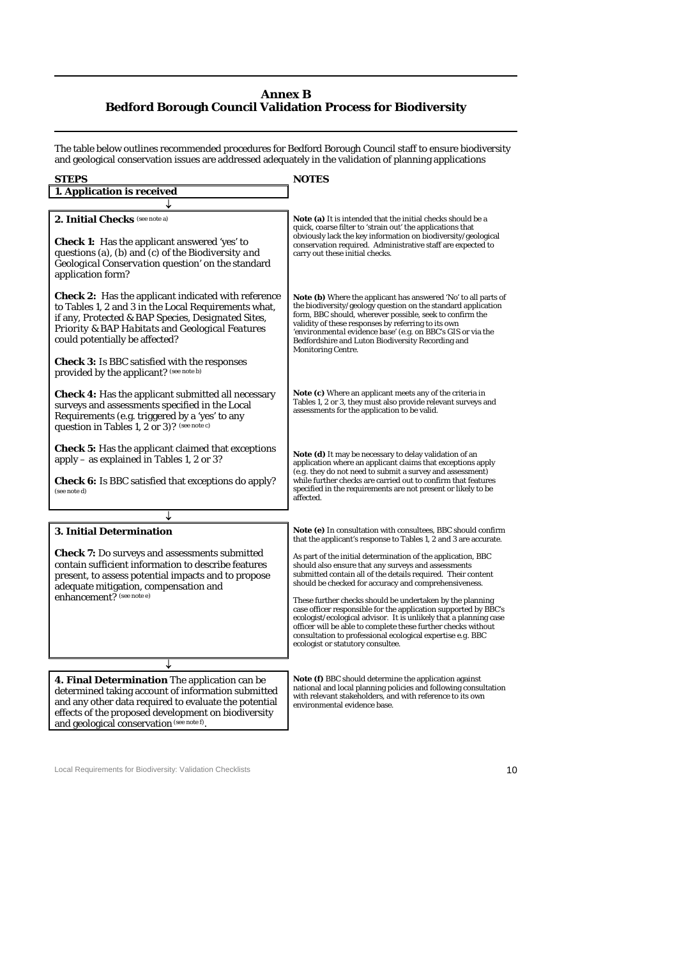# **Annex B Bedford Borough Council Validation Process for Biodiversity**

The table below outlines recommended procedures for Bedford Borough Council staff to ensure biodiversity and geological conservation issues are addressed adequately in the validation of planning applications

| <b>STEPS</b>                                                                                                                                                                                                                                                                                                                | <b>NOTES</b>                                                                                                                                                                                                                                                                                                                                                                                               |  |  |  |  |  |  |
|-----------------------------------------------------------------------------------------------------------------------------------------------------------------------------------------------------------------------------------------------------------------------------------------------------------------------------|------------------------------------------------------------------------------------------------------------------------------------------------------------------------------------------------------------------------------------------------------------------------------------------------------------------------------------------------------------------------------------------------------------|--|--|--|--|--|--|
| 1. Application is received                                                                                                                                                                                                                                                                                                  |                                                                                                                                                                                                                                                                                                                                                                                                            |  |  |  |  |  |  |
|                                                                                                                                                                                                                                                                                                                             |                                                                                                                                                                                                                                                                                                                                                                                                            |  |  |  |  |  |  |
| 2. Initial Checks (see note a)<br><b>Check 1:</b> Has the applicant answered 'yes' to<br>questions (a), (b) and (c) of the Biodiversity and<br>Geological Conservation question' on the standard<br>application form?                                                                                                       | <b>Note (a)</b> It is intended that the initial checks should be a<br>quick, coarse filter to 'strain out' the applications that<br>obviously lack the key information on biodiversity/geological<br>conservation required. Administrative staff are expected to<br>carry out these initial checks.                                                                                                        |  |  |  |  |  |  |
| <b><i>Check 2:</i></b> Has the applicant indicated with reference<br>to Tables 1, 2 and 3 in the Local Requirements what,<br>if any, Protected & BAP Species, Designated Sites,<br>Priority & BAP Habitats and Geological Features<br>could potentially be affected?<br><b>Check 3:</b> Is BBC satisfied with the responses | <b>Note (b)</b> Where the applicant has answered 'No' to all parts of<br>the biodiversity/geology question on the standard application<br>form, BBC should, wherever possible, seek to confirm the<br>validity of these responses by referring to its own<br>'environmental evidence base' (e.g. on BBC's GIS or via the<br>Bedfordshire and Luton Biodiversity Recording and<br><b>Monitoring Centre.</b> |  |  |  |  |  |  |
| provided by the applicant? (see note b)<br><b>Check 4:</b> Has the applicant submitted all necessary<br>surveys and assessments specified in the Local<br>Requirements (e.g. triggered by a 'yes' to any<br>question in Tables 1, 2 or 3)? (see note c)                                                                     | <b>Note (c)</b> Where an applicant meets any of the criteria in<br>Tables 1, 2 or 3, they must also provide relevant surveys and<br>assessments for the application to be valid.                                                                                                                                                                                                                           |  |  |  |  |  |  |
| <b>Check 5:</b> Has the applicant claimed that exceptions<br>apply – as explained in Tables 1, 2 or 3?<br><b>Check 6:</b> Is BBC satisfied that exceptions do apply?<br>(see note d)                                                                                                                                        | <b>Note (d)</b> It may be necessary to delay validation of an<br>application where an applicant claims that exceptions apply<br>(e.g. they do not need to submit a survey and assessment)<br>while further checks are carried out to confirm that features<br>specified in the requirements are not present or likely to be<br>affected.                                                                   |  |  |  |  |  |  |
|                                                                                                                                                                                                                                                                                                                             |                                                                                                                                                                                                                                                                                                                                                                                                            |  |  |  |  |  |  |
| 3. Initial Determination                                                                                                                                                                                                                                                                                                    | Note (e) In consultation with consultees, BBC should confirm<br>that the applicant's response to Tables 1, 2 and 3 are accurate.                                                                                                                                                                                                                                                                           |  |  |  |  |  |  |
| <b>Check 7:</b> Do surveys and assessments submitted<br>contain sufficient information to describe features<br>present, to assess potential impacts and to propose<br>adequate mitigation, compensation and                                                                                                                 | As part of the initial determination of the application, BBC<br>should also ensure that any surveys and assessments<br>submitted contain all of the details required. Their content<br>should be checked for accuracy and comprehensiveness.                                                                                                                                                               |  |  |  |  |  |  |
| enhancement? (see note e)                                                                                                                                                                                                                                                                                                   | These further checks should be undertaken by the planning<br>case officer responsible for the application supported by BBC's<br>ecologist/ecological advisor. It is unlikely that a planning case<br>officer will be able to complete these further checks without<br>consultation to professional ecological expertise e.g. BBC<br>ecologist or statutory consultee.                                      |  |  |  |  |  |  |
|                                                                                                                                                                                                                                                                                                                             |                                                                                                                                                                                                                                                                                                                                                                                                            |  |  |  |  |  |  |
| 4. Final Determination The application can be<br>determined taking account of information submitted<br>and any other data required to evaluate the potential<br>effects of the proposed development on biodiversity                                                                                                         | <b>Note (f)</b> BBC should determine the application against<br>national and local planning policies and following consultation<br>with relevant stakeholders, and with reference to its own<br>environmental evidence base.                                                                                                                                                                               |  |  |  |  |  |  |

Local Requirements for Biodiversity: Validation Checklists 10

and geological conservation (see note f).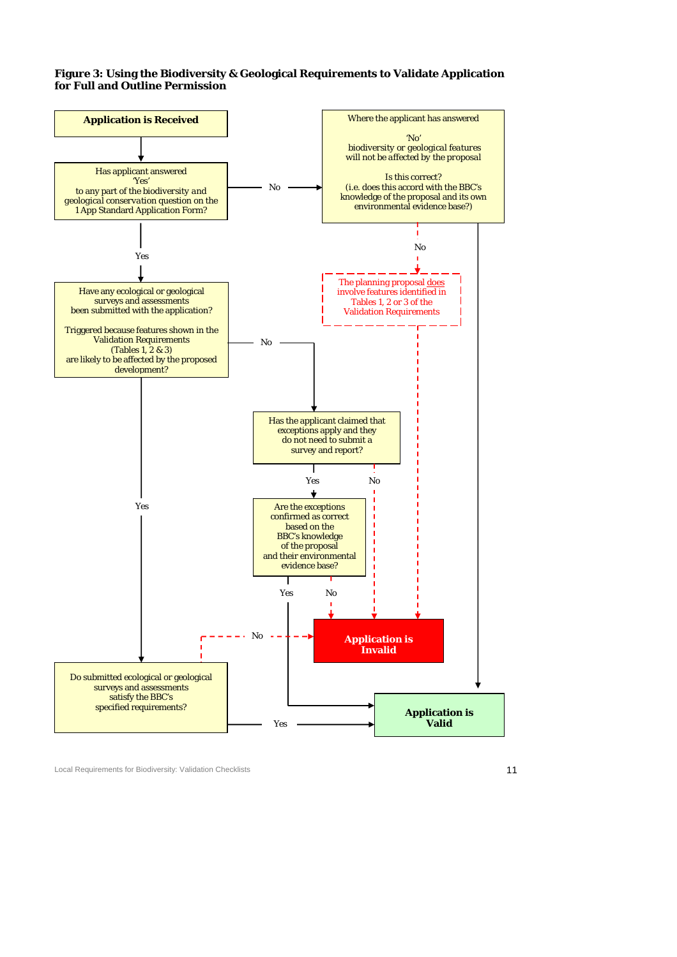### **Figure 3: Using the Biodiversity & Geological Requirements to Validate Application for Full and Outline Permission**



Local Requirements for Biodiversity: Validation Checklists 11 and 2008 11 and 2009 12 and 2009 12 and 2009 12 and 2009 12 and 2009 12 and 2009 12 and 2009 12 and 2009 12 and 2009 12 and 2009 12 and 2009 12 and 2009 12 and